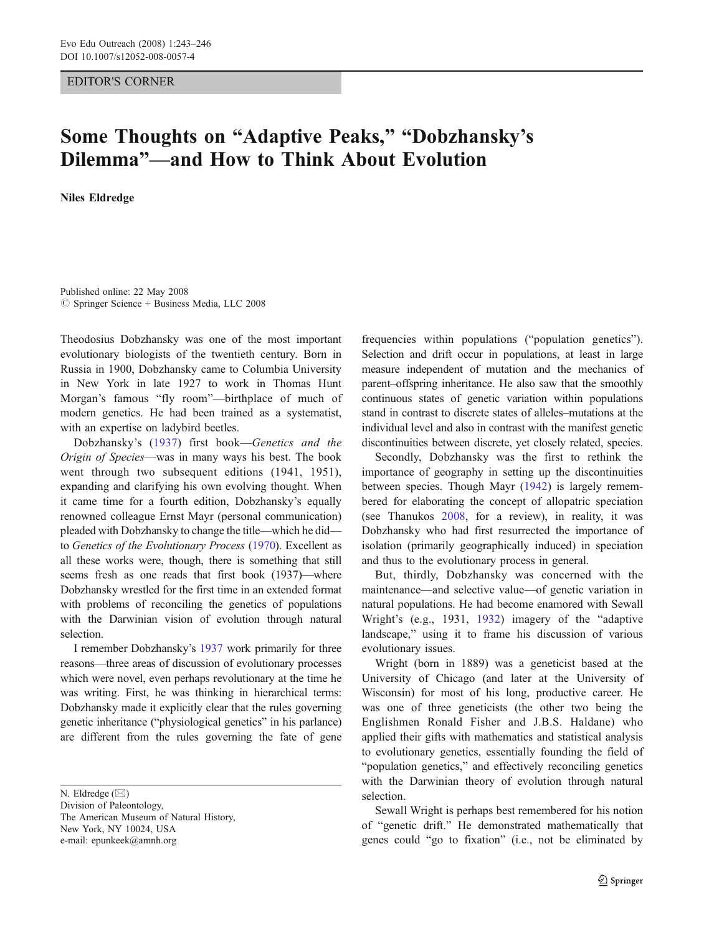## EDITOR'S CORNER

## Some Thoughts on "Adaptive Peaks," "Dobzhansky's Dilemma"—and How to Think About Evolution

Niles Eldredge

Published online: 22 May 2008  $\circ$  Springer Science + Business Media, LLC 2008

Theodosius Dobzhansky was one of the most important evolutionary biologists of the twentieth century. Born in Russia in 1900, Dobzhansky came to Columbia University in New York in late 1927 to work in Thomas Hunt Morgan's famous "fly room"—birthplace of much of modern genetics. He had been trained as a systematist, with an expertise on ladybird beetles.

Dobzhansky's ([1937](#page-3-0)) first book—Genetics and the Origin of Species—was in many ways his best. The book went through two subsequent editions (1941, 1951), expanding and clarifying his own evolving thought. When it came time for a fourth edition, Dobzhansky's equally renowned colleague Ernst Mayr (personal communication) pleaded with Dobzhansky to change the title—which he did to Genetics of the Evolutionary Process [\(1970\)](#page-3-0). Excellent as all these works were, though, there is something that still seems fresh as one reads that first book (1937)—where Dobzhansky wrestled for the first time in an extended format with problems of reconciling the genetics of populations with the Darwinian vision of evolution through natural selection.

I remember Dobzhansky's [1937](#page-3-0) work primarily for three reasons—three areas of discussion of evolutionary processes which were novel, even perhaps revolutionary at the time he was writing. First, he was thinking in hierarchical terms: Dobzhansky made it explicitly clear that the rules governing genetic inheritance ("physiological genetics" in his parlance) are different from the rules governing the fate of gene

N. Eldredge (*\**)

The American Museum of Natural History, New York, NY 10024, USA e-mail: epunkeek@amnh.org

frequencies within populations ("population genetics"). Selection and drift occur in populations, at least in large measure independent of mutation and the mechanics of parent–offspring inheritance. He also saw that the smoothly continuous states of genetic variation within populations stand in contrast to discrete states of alleles–mutations at the individual level and also in contrast with the manifest genetic discontinuities between discrete, yet closely related, species.

Secondly, Dobzhansky was the first to rethink the importance of geography in setting up the discontinuities between species. Though Mayr [\(1942](#page-3-0)) is largely remembered for elaborating the concept of allopatric speciation (see Thanukos [2008,](#page-3-0) for a review), in reality, it was Dobzhansky who had first resurrected the importance of isolation (primarily geographically induced) in speciation and thus to the evolutionary process in general.

But, thirdly, Dobzhansky was concerned with the maintenance—and selective value—of genetic variation in natural populations. He had become enamored with Sewall Wright's (e.g., 1931, [1932\)](#page-3-0) imagery of the "adaptive landscape," using it to frame his discussion of various evolutionary issues.

Wright (born in 1889) was a geneticist based at the University of Chicago (and later at the University of Wisconsin) for most of his long, productive career. He was one of three geneticists (the other two being the Englishmen Ronald Fisher and J.B.S. Haldane) who applied their gifts with mathematics and statistical analysis to evolutionary genetics, essentially founding the field of "population genetics," and effectively reconciling genetics with the Darwinian theory of evolution through natural selection.

Sewall Wright is perhaps best remembered for his notion of "genetic drift." He demonstrated mathematically that genes could "go to fixation" (i.e., not be eliminated by

Division of Paleontology,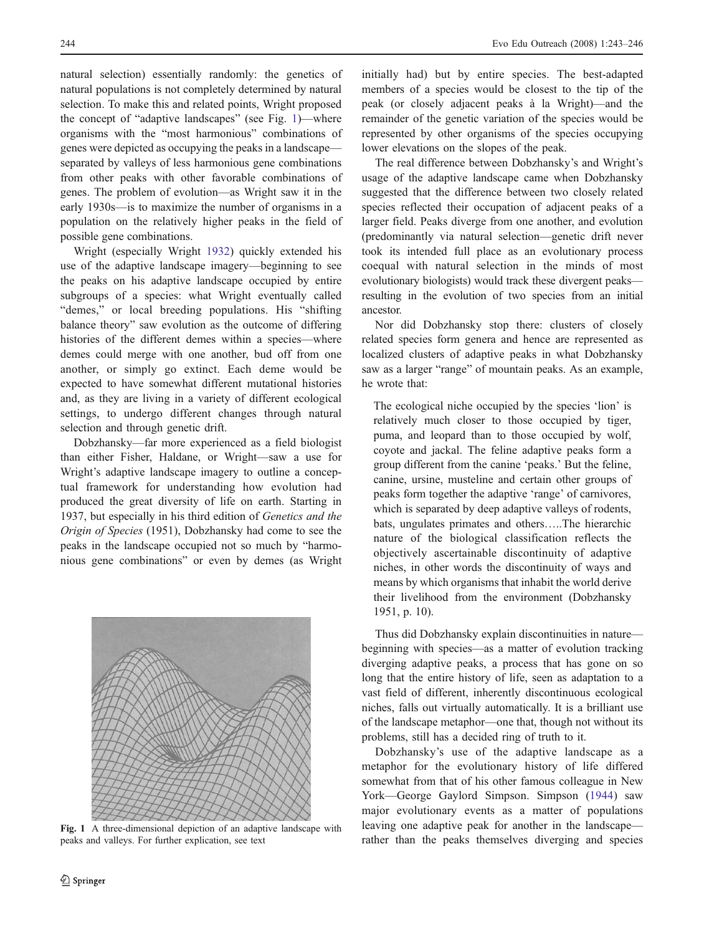natural selection) essentially randomly: the genetics of natural populations is not completely determined by natural selection. To make this and related points, Wright proposed the concept of "adaptive landscapes" (see Fig. 1)—where organisms with the "most harmonious" combinations of genes were depicted as occupying the peaks in a landscape separated by valleys of less harmonious gene combinations from other peaks with other favorable combinations of genes. The problem of evolution—as Wright saw it in the early 1930s—is to maximize the number of organisms in a population on the relatively higher peaks in the field of possible gene combinations.

Wright (especially Wright [1932\)](#page-3-0) quickly extended his use of the adaptive landscape imagery—beginning to see the peaks on his adaptive landscape occupied by entire subgroups of a species: what Wright eventually called "demes," or local breeding populations. His "shifting balance theory" saw evolution as the outcome of differing histories of the different demes within a species—where demes could merge with one another, bud off from one another, or simply go extinct. Each deme would be expected to have somewhat different mutational histories and, as they are living in a variety of different ecological settings, to undergo different changes through natural selection and through genetic drift.

Dobzhansky—far more experienced as a field biologist than either Fisher, Haldane, or Wright—saw a use for Wright's adaptive landscape imagery to outline a conceptual framework for understanding how evolution had produced the great diversity of life on earth. Starting in 1937, but especially in his third edition of Genetics and the Origin of Species (1951), Dobzhansky had come to see the peaks in the landscape occupied not so much by "harmonious gene combinations" or even by demes (as Wright



Fig. 1 A three-dimensional depiction of an adaptive landscape with peaks and valleys. For further explication, see text

initially had) but by entire species. The best-adapted members of a species would be closest to the tip of the peak (or closely adjacent peaks à la Wright)—and the remainder of the genetic variation of the species would be represented by other organisms of the species occupying lower elevations on the slopes of the peak.

The real difference between Dobzhansky's and Wright's usage of the adaptive landscape came when Dobzhansky suggested that the difference between two closely related species reflected their occupation of adjacent peaks of a larger field. Peaks diverge from one another, and evolution (predominantly via natural selection—genetic drift never took its intended full place as an evolutionary process coequal with natural selection in the minds of most evolutionary biologists) would track these divergent peaks resulting in the evolution of two species from an initial ancestor.

Nor did Dobzhansky stop there: clusters of closely related species form genera and hence are represented as localized clusters of adaptive peaks in what Dobzhansky saw as a larger "range" of mountain peaks. As an example, he wrote that:

The ecological niche occupied by the species 'lion' is relatively much closer to those occupied by tiger, puma, and leopard than to those occupied by wolf, coyote and jackal. The feline adaptive peaks form a group different from the canine 'peaks.' But the feline, canine, ursine, musteline and certain other groups of peaks form together the adaptive 'range' of carnivores, which is separated by deep adaptive valleys of rodents, bats, ungulates primates and others…..The hierarchic nature of the biological classification reflects the objectively ascertainable discontinuity of adaptive niches, in other words the discontinuity of ways and means by which organisms that inhabit the world derive their livelihood from the environment (Dobzhansky 1951, p. 10).

Thus did Dobzhansky explain discontinuities in nature beginning with species—as a matter of evolution tracking diverging adaptive peaks, a process that has gone on so long that the entire history of life, seen as adaptation to a vast field of different, inherently discontinuous ecological niches, falls out virtually automatically. It is a brilliant use of the landscape metaphor—one that, though not without its problems, still has a decided ring of truth to it.

Dobzhansky's use of the adaptive landscape as a metaphor for the evolutionary history of life differed somewhat from that of his other famous colleague in New York—George Gaylord Simpson. Simpson [\(1944](#page-3-0)) saw major evolutionary events as a matter of populations leaving one adaptive peak for another in the landscape rather than the peaks themselves diverging and species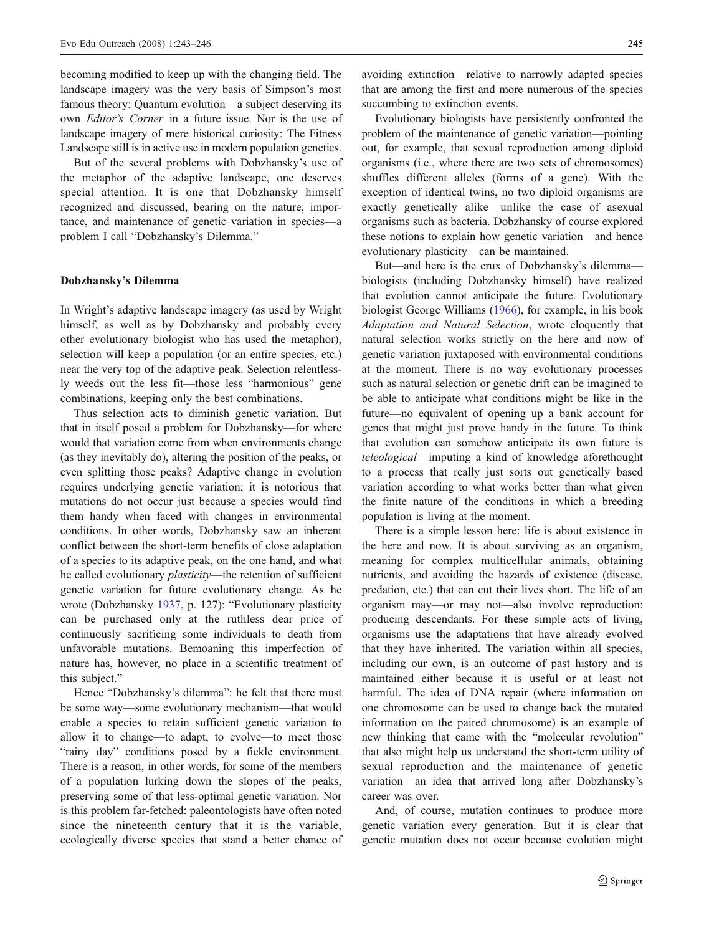becoming modified to keep up with the changing field. The landscape imagery was the very basis of Simpson's most famous theory: Quantum evolution—a subject deserving its own Editor's Corner in a future issue. Nor is the use of landscape imagery of mere historical curiosity: The Fitness Landscape still is in active use in modern population genetics.

But of the several problems with Dobzhansky's use of the metaphor of the adaptive landscape, one deserves special attention. It is one that Dobzhansky himself recognized and discussed, bearing on the nature, importance, and maintenance of genetic variation in species—a problem I call "Dobzhansky's Dilemma."

## Dobzhansky's Dilemma

In Wright's adaptive landscape imagery (as used by Wright himself, as well as by Dobzhansky and probably every other evolutionary biologist who has used the metaphor), selection will keep a population (or an entire species, etc.) near the very top of the adaptive peak. Selection relentlessly weeds out the less fit—those less "harmonious" gene combinations, keeping only the best combinations.

Thus selection acts to diminish genetic variation. But that in itself posed a problem for Dobzhansky—for where would that variation come from when environments change (as they inevitably do), altering the position of the peaks, or even splitting those peaks? Adaptive change in evolution requires underlying genetic variation; it is notorious that mutations do not occur just because a species would find them handy when faced with changes in environmental conditions. In other words, Dobzhansky saw an inherent conflict between the short-term benefits of close adaptation of a species to its adaptive peak, on the one hand, and what he called evolutionary *plasticity*—the retention of sufficient genetic variation for future evolutionary change. As he wrote (Dobzhansky [1937,](#page-3-0) p. 127): "Evolutionary plasticity can be purchased only at the ruthless dear price of continuously sacrificing some individuals to death from unfavorable mutations. Bemoaning this imperfection of nature has, however, no place in a scientific treatment of this subject."

Hence "Dobzhansky's dilemma": he felt that there must be some way—some evolutionary mechanism—that would enable a species to retain sufficient genetic variation to allow it to change—to adapt, to evolve—to meet those "rainy day" conditions posed by a fickle environment. There is a reason, in other words, for some of the members of a population lurking down the slopes of the peaks, preserving some of that less-optimal genetic variation. Nor is this problem far-fetched: paleontologists have often noted since the nineteenth century that it is the variable, ecologically diverse species that stand a better chance of

avoiding extinction—relative to narrowly adapted species that are among the first and more numerous of the species succumbing to extinction events.

Evolutionary biologists have persistently confronted the problem of the maintenance of genetic variation—pointing out, for example, that sexual reproduction among diploid organisms (i.e., where there are two sets of chromosomes) shuffles different alleles (forms of a gene). With the exception of identical twins, no two diploid organisms are exactly genetically alike—unlike the case of asexual organisms such as bacteria. Dobzhansky of course explored these notions to explain how genetic variation—and hence evolutionary plasticity—can be maintained.

But—and here is the crux of Dobzhansky's dilemma biologists (including Dobzhansky himself) have realized that evolution cannot anticipate the future. Evolutionary biologist George Williams [\(1966](#page-3-0)), for example, in his book Adaptation and Natural Selection, wrote eloquently that natural selection works strictly on the here and now of genetic variation juxtaposed with environmental conditions at the moment. There is no way evolutionary processes such as natural selection or genetic drift can be imagined to be able to anticipate what conditions might be like in the future—no equivalent of opening up a bank account for genes that might just prove handy in the future. To think that evolution can somehow anticipate its own future is teleological—imputing a kind of knowledge aforethought to a process that really just sorts out genetically based variation according to what works better than what given the finite nature of the conditions in which a breeding population is living at the moment.

There is a simple lesson here: life is about existence in the here and now. It is about surviving as an organism, meaning for complex multicellular animals, obtaining nutrients, and avoiding the hazards of existence (disease, predation, etc.) that can cut their lives short. The life of an organism may—or may not—also involve reproduction: producing descendants. For these simple acts of living, organisms use the adaptations that have already evolved that they have inherited. The variation within all species, including our own, is an outcome of past history and is maintained either because it is useful or at least not harmful. The idea of DNA repair (where information on one chromosome can be used to change back the mutated information on the paired chromosome) is an example of new thinking that came with the "molecular revolution" that also might help us understand the short-term utility of sexual reproduction and the maintenance of genetic variation—an idea that arrived long after Dobzhansky's career was over.

And, of course, mutation continues to produce more genetic variation every generation. But it is clear that genetic mutation does not occur because evolution might